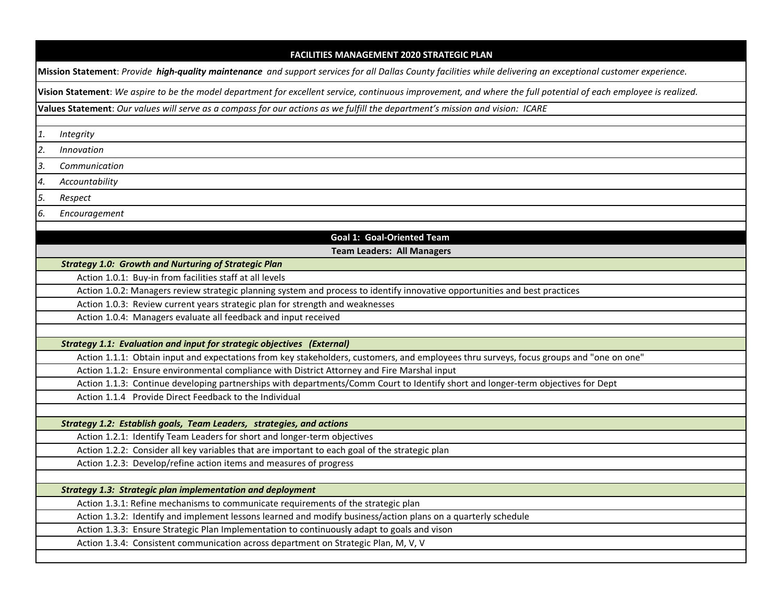| <b>FACILITIES MANAGEMENT 2020 STRATEGIC PLAN</b>                                                                                                                 |  |  |  |  |
|------------------------------------------------------------------------------------------------------------------------------------------------------------------|--|--|--|--|
| Mission Statement: Provide high-quality maintenance and support services for all Dallas County facilities while delivering an exceptional customer experience.   |  |  |  |  |
| Vision Statement: We aspire to be the model department for excellent service, continuous improvement, and where the full potential of each employee is realized. |  |  |  |  |
| Values Statement: Our values will serve as a compass for our actions as we fulfill the department's mission and vision: ICARE                                    |  |  |  |  |
|                                                                                                                                                                  |  |  |  |  |
| 1.<br>Integrity                                                                                                                                                  |  |  |  |  |
| 2.<br>Innovation                                                                                                                                                 |  |  |  |  |
| 3.<br>Communication                                                                                                                                              |  |  |  |  |
| 4.<br>Accountability                                                                                                                                             |  |  |  |  |
| 5.<br>Respect                                                                                                                                                    |  |  |  |  |
| 6.<br>Encouragement                                                                                                                                              |  |  |  |  |
|                                                                                                                                                                  |  |  |  |  |
| <b>Goal 1: Goal-Oriented Team</b>                                                                                                                                |  |  |  |  |
| <b>Team Leaders: All Managers</b>                                                                                                                                |  |  |  |  |
| <b>Strategy 1.0: Growth and Nurturing of Strategic Plan</b><br>Action 1.0.1: Buy-in from facilities staff at all levels                                          |  |  |  |  |
| Action 1.0.2: Managers review strategic planning system and process to identify innovative opportunities and best practices                                      |  |  |  |  |
| Action 1.0.3: Review current years strategic plan for strength and weaknesses                                                                                    |  |  |  |  |
| Action 1.0.4: Managers evaluate all feedback and input received                                                                                                  |  |  |  |  |
|                                                                                                                                                                  |  |  |  |  |
| Strategy 1.1: Evaluation and input for strategic objectives (External)                                                                                           |  |  |  |  |
| Action 1.1.1: Obtain input and expectations from key stakeholders, customers, and employees thru surveys, focus groups and "one on one"                          |  |  |  |  |
| Action 1.1.2: Ensure environmental compliance with District Attorney and Fire Marshal input                                                                      |  |  |  |  |
| Action 1.1.3: Continue developing partnerships with departments/Comm Court to Identify short and longer-term objectives for Dept                                 |  |  |  |  |
| Action 1.1.4 Provide Direct Feedback to the Individual                                                                                                           |  |  |  |  |
|                                                                                                                                                                  |  |  |  |  |
| Strategy 1.2: Establish goals, Team Leaders, strategies, and actions                                                                                             |  |  |  |  |
| Action 1.2.1: Identify Team Leaders for short and longer-term objectives                                                                                         |  |  |  |  |
| Action 1.2.2: Consider all key variables that are important to each goal of the strategic plan                                                                   |  |  |  |  |
| Action 1.2.3: Develop/refine action items and measures of progress                                                                                               |  |  |  |  |
| <b>Strategy 1.3: Strategic plan implementation and deployment</b>                                                                                                |  |  |  |  |
| Action 1.3.1: Refine mechanisms to communicate requirements of the strategic plan                                                                                |  |  |  |  |
| Action 1.3.2: Identify and implement lessons learned and modify business/action plans on a quarterly schedule                                                    |  |  |  |  |
| Action 1.3.3: Ensure Strategic Plan Implementation to continuously adapt to goals and vison                                                                      |  |  |  |  |
| Action 1.3.4: Consistent communication across department on Strategic Plan, M, V, V                                                                              |  |  |  |  |
|                                                                                                                                                                  |  |  |  |  |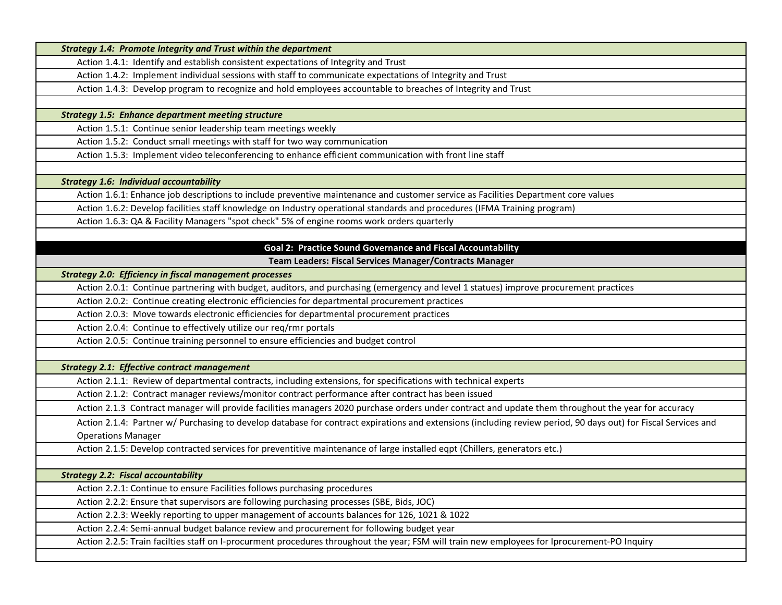|                                                    | <b>Strategy 1.4: Promote Integrity and Trust within the department</b>                                                                                                                                                                    |
|----------------------------------------------------|-------------------------------------------------------------------------------------------------------------------------------------------------------------------------------------------------------------------------------------------|
|                                                    | Action 1.4.1: Identify and establish consistent expectations of Integrity and Trust                                                                                                                                                       |
|                                                    | Action 1.4.2: Implement individual sessions with staff to communicate expectations of Integrity and Trust                                                                                                                                 |
|                                                    | Action 1.4.3: Develop program to recognize and hold employees accountable to breaches of Integrity and Trust                                                                                                                              |
|                                                    |                                                                                                                                                                                                                                           |
|                                                    | <b>Strategy 1.5: Enhance department meeting structure</b>                                                                                                                                                                                 |
|                                                    | Action 1.5.1: Continue senior leadership team meetings weekly                                                                                                                                                                             |
|                                                    | Action 1.5.2: Conduct small meetings with staff for two way communication                                                                                                                                                                 |
|                                                    | Action 1.5.3: Implement video teleconferencing to enhance efficient communication with front line staff                                                                                                                                   |
|                                                    |                                                                                                                                                                                                                                           |
| <b>Strategy 1.6: Individual accountability</b>     |                                                                                                                                                                                                                                           |
|                                                    | Action 1.6.1: Enhance job descriptions to include preventive maintenance and customer service as Facilities Department core values                                                                                                        |
|                                                    | Action 1.6.2: Develop facilities staff knowledge on Industry operational standards and procedures (IFMA Training program)                                                                                                                 |
|                                                    | Action 1.6.3: QA & Facility Managers "spot check" 5% of engine rooms work orders quarterly                                                                                                                                                |
|                                                    |                                                                                                                                                                                                                                           |
|                                                    | <b>Goal 2: Practice Sound Governance and Fiscal Accountability</b>                                                                                                                                                                        |
|                                                    | Team Leaders: Fiscal Services Manager/Contracts Manager                                                                                                                                                                                   |
|                                                    | <b>Strategy 2.0: Efficiency in fiscal management processes</b>                                                                                                                                                                            |
|                                                    | Action 2.0.1: Continue partnering with budget, auditors, and purchasing (emergency and level 1 statues) improve procurement practices                                                                                                     |
|                                                    | Action 2.0.2: Continue creating electronic efficiencies for departmental procurement practices                                                                                                                                            |
|                                                    | Action 2.0.3: Move towards electronic efficiencies for departmental procurement practices                                                                                                                                                 |
|                                                    | Action 2.0.4: Continue to effectively utilize our reg/rmr portals                                                                                                                                                                         |
|                                                    | Action 2.0.5: Continue training personnel to ensure efficiencies and budget control                                                                                                                                                       |
|                                                    |                                                                                                                                                                                                                                           |
| <b>Strategy 2.1: Effective contract management</b> |                                                                                                                                                                                                                                           |
|                                                    | Action 2.1.1: Review of departmental contracts, including extensions, for specifications with technical experts                                                                                                                           |
|                                                    | Action 2.1.2: Contract manager reviews/monitor contract performance after contract has been issued                                                                                                                                        |
|                                                    | Action 2.1.3 Contract manager will provide facilities managers 2020 purchase orders under contract and update them throughout the year for accuracy                                                                                       |
|                                                    | Action 2.1.4: Partner w/ Purchasing to develop database for contract expirations and extensions (including review period, 90 days out) for Fiscal Services and                                                                            |
| <b>Operations Manager</b>                          |                                                                                                                                                                                                                                           |
|                                                    | Action 2.1.5: Develop contracted services for preventitive maintenance of large installed eqpt (Chillers, generators etc.)                                                                                                                |
|                                                    |                                                                                                                                                                                                                                           |
| <b>Strategy 2.2: Fiscal accountability</b>         |                                                                                                                                                                                                                                           |
|                                                    | Action 2.2.1: Continue to ensure Facilities follows purchasing procedures                                                                                                                                                                 |
|                                                    | Action 2.2.2: Ensure that supervisors are following purchasing processes (SBE, Bids, JOC)                                                                                                                                                 |
|                                                    | Action 2.2.3: Weekly reporting to upper management of accounts balances for 126, 1021 & 1022                                                                                                                                              |
|                                                    |                                                                                                                                                                                                                                           |
|                                                    | Action 2.2.4: Semi-annual budget balance review and procurement for following budget year<br>Action 2.2.5: Train facilties staff on I-procurment procedures throughout the year; FSM will train new employees for Iprocurement-PO Inquiry |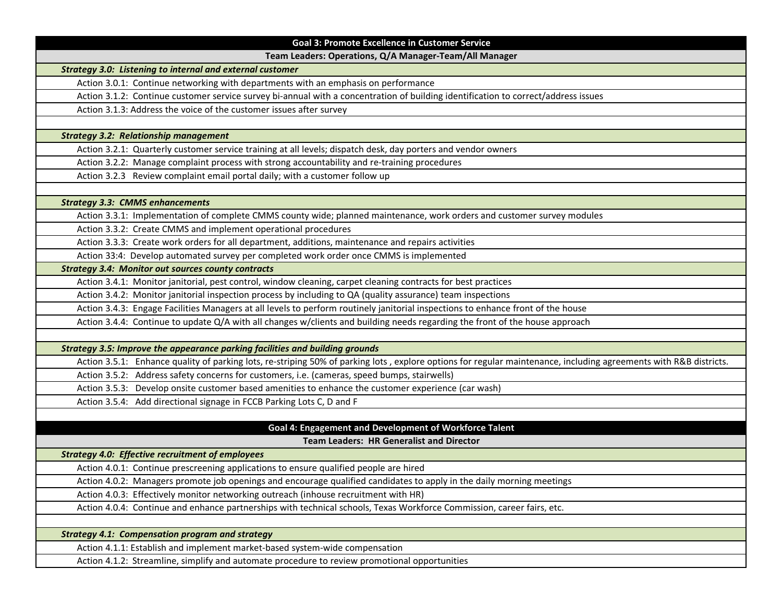| <b>Goal 3: Promote Excellence in Customer Service</b>                                                                                                             |  |
|-------------------------------------------------------------------------------------------------------------------------------------------------------------------|--|
| Team Leaders: Operations, Q/A Manager-Team/All Manager                                                                                                            |  |
| <b>Strategy 3.0: Listening to internal and external customer</b>                                                                                                  |  |
| Action 3.0.1: Continue networking with departments with an emphasis on performance                                                                                |  |
| Action 3.1.2: Continue customer service survey bi-annual with a concentration of building identification to correct/address issues                                |  |
| Action 3.1.3: Address the voice of the customer issues after survey                                                                                               |  |
|                                                                                                                                                                   |  |
| <b>Strategy 3.2: Relationship management</b>                                                                                                                      |  |
| Action 3.2.1: Quarterly customer service training at all levels; dispatch desk, day porters and vendor owners                                                     |  |
| Action 3.2.2: Manage complaint process with strong accountability and re-training procedures                                                                      |  |
| Action 3.2.3 Review complaint email portal daily; with a customer follow up                                                                                       |  |
|                                                                                                                                                                   |  |
| <b>Strategy 3.3: CMMS enhancements</b>                                                                                                                            |  |
| Action 3.3.1: Implementation of complete CMMS county wide; planned maintenance, work orders and customer survey modules                                           |  |
| Action 3.3.2: Create CMMS and implement operational procedures                                                                                                    |  |
| Action 3.3.3: Create work orders for all department, additions, maintenance and repairs activities                                                                |  |
| Action 33:4: Develop automated survey per completed work order once CMMS is implemented                                                                           |  |
| <b>Strategy 3.4: Monitor out sources county contracts</b>                                                                                                         |  |
| Action 3.4.1: Monitor janitorial, pest control, window cleaning, carpet cleaning contracts for best practices                                                     |  |
| Action 3.4.2: Monitor janitorial inspection process by including to QA (quality assurance) team inspections                                                       |  |
| Action 3.4.3: Engage Facilities Managers at all levels to perform routinely janitorial inspections to enhance front of the house                                  |  |
| Action 3.4.4: Continue to update Q/A with all changes w/clients and building needs regarding the front of the house approach                                      |  |
|                                                                                                                                                                   |  |
| Strategy 3.5: Improve the appearance parking facilities and building grounds                                                                                      |  |
| Action 3.5.1: Enhance quality of parking lots, re-striping 50% of parking lots, explore options for regular maintenance, including agreements with R&B districts. |  |
| Action 3.5.2: Address safety concerns for customers, i.e. (cameras, speed bumps, stairwells)                                                                      |  |
| Action 3.5.3: Develop onsite customer based amenities to enhance the customer experience (car wash)                                                               |  |
| Action 3.5.4: Add directional signage in FCCB Parking Lots C, D and F                                                                                             |  |
|                                                                                                                                                                   |  |
| Goal 4: Engagement and Development of Workforce Talent                                                                                                            |  |
| <b>Team Leaders: HR Generalist and Director</b>                                                                                                                   |  |
| <b>Strategy 4.0: Effective recruitment of employees</b>                                                                                                           |  |
| Action 4.0.1: Continue prescreening applications to ensure qualified people are hired                                                                             |  |
| Action 4.0.2: Managers promote job openings and encourage qualified candidates to apply in the daily morning meetings                                             |  |
| Action 4.0.3: Effectively monitor networking outreach (inhouse recruitment with HR)                                                                               |  |
| Action 4.0.4: Continue and enhance partnerships with technical schools, Texas Workforce Commission, career fairs, etc.                                            |  |
| <b>Strategy 4.1: Compensation program and strategy</b>                                                                                                            |  |
| Action 4.1.1: Establish and implement market-based system-wide compensation                                                                                       |  |
| Action 4.1.2: Streamline, simplify and automate procedure to review promotional opportunities                                                                     |  |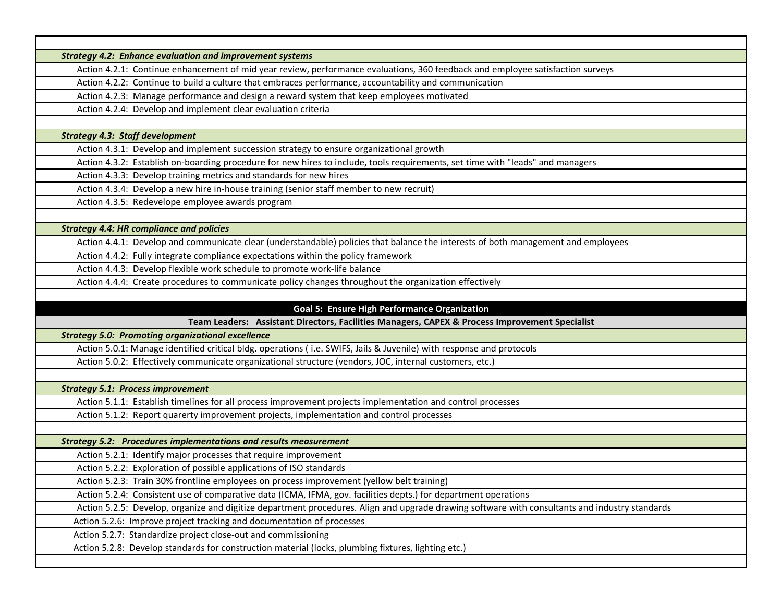|                                          | <b>Strategy 4.2: Enhance evaluation and improvement systems</b>                                                                                       |
|------------------------------------------|-------------------------------------------------------------------------------------------------------------------------------------------------------|
|                                          | Action 4.2.1: Continue enhancement of mid year review, performance evaluations, 360 feedback and employee satisfaction surveys                        |
|                                          | Action 4.2.2: Continue to build a culture that embraces performance, accountability and communication                                                 |
|                                          | Action 4.2.3: Manage performance and design a reward system that keep employees motivated                                                             |
|                                          | Action 4.2.4: Develop and implement clear evaluation criteria                                                                                         |
|                                          |                                                                                                                                                       |
| <b>Strategy 4.3: Staff development</b>   |                                                                                                                                                       |
|                                          | Action 4.3.1: Develop and implement succession strategy to ensure organizational growth                                                               |
|                                          | Action 4.3.2: Establish on-boarding procedure for new hires to include, tools requirements, set time with "leads" and managers                        |
|                                          | Action 4.3.3: Develop training metrics and standards for new hires                                                                                    |
|                                          | Action 4.3.4: Develop a new hire in-house training (senior staff member to new recruit)                                                               |
|                                          | Action 4.3.5: Redevelope employee awards program                                                                                                      |
|                                          |                                                                                                                                                       |
|                                          | <b>Strategy 4.4: HR compliance and policies</b>                                                                                                       |
|                                          | Action 4.4.1: Develop and communicate clear (understandable) policies that balance the interests of both management and employees                     |
|                                          | Action 4.4.2: Fully integrate compliance expectations within the policy framework                                                                     |
|                                          | Action 4.4.3: Develop flexible work schedule to promote work-life balance                                                                             |
|                                          | Action 4.4.4: Create procedures to communicate policy changes throughout the organization effectively                                                 |
|                                          |                                                                                                                                                       |
|                                          | <b>Goal 5: Ensure High Performance Organization</b><br>Team Leaders: Assistant Directors, Facilities Managers, CAPEX & Process Improvement Specialist |
|                                          | <b>Strategy 5.0: Promoting organizational excellence</b>                                                                                              |
|                                          | Action 5.0.1: Manage identified critical bldg. operations (i.e. SWIFS, Jails & Juvenile) with response and protocols                                  |
|                                          | Action 5.0.2: Effectively communicate organizational structure (vendors, JOC, internal customers, etc.)                                               |
|                                          |                                                                                                                                                       |
| <b>Strategy 5.1: Process improvement</b> |                                                                                                                                                       |
|                                          | Action 5.1.1: Establish timelines for all process improvement projects implementation and control processes                                           |
|                                          | Action 5.1.2: Report quarerty improvement projects, implementation and control processes                                                              |
|                                          |                                                                                                                                                       |
|                                          | <b>Strategy 5.2: Procedures implementations and results measurement</b>                                                                               |
|                                          | Action 5.2.1: Identify major processes that require improvement                                                                                       |
|                                          | Action 5.2.2: Exploration of possible applications of ISO standards                                                                                   |
|                                          | Action 5.2.3: Train 30% frontline employees on process improvement (yellow belt training)                                                             |
|                                          | Action 5.2.4: Consistent use of comparative data (ICMA, IFMA, gov. facilities depts.) for department operations                                       |
|                                          | Action 5.2.5: Develop, organize and digitize department procedures. Align and upgrade drawing software with consultants and industry standards        |
|                                          | Action 5.2.6: Improve project tracking and documentation of processes                                                                                 |
|                                          | Action 5.2.7: Standardize project close-out and commissioning                                                                                         |
|                                          | Action 5.2.8: Develop standards for construction material (locks, plumbing fixtures, lighting etc.)                                                   |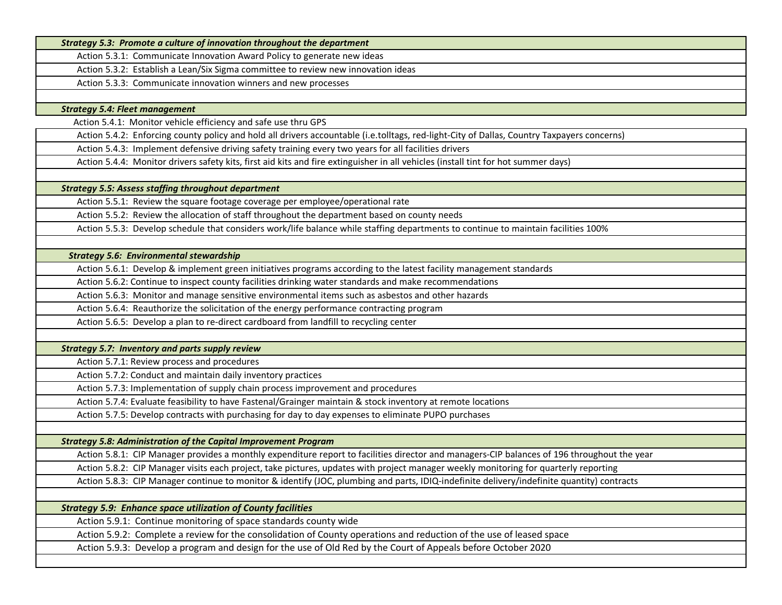*Strategy 5.3: Promote a culture of innovation throughout the department* 

Action 5.3.1: Communicate Innovation Award Policy to generate new ideas

Action 5.3.2: Establish a Lean/Six Sigma committee to review new innovation ideas

Action 5.3.3: Communicate innovation winners and new processes

*Strategy 5.4: Fleet management* 

Action 5.4.1: Monitor vehicle efficiency and safe use thru GPS

Action 5.4.2: Enforcing county policy and hold all drivers accountable (i.e.tolltags, red-light-City of Dallas, Country Taxpayers concerns)

Action 5.4.3: Implement defensive driving safety training every two years for all facilities drivers

Action 5.4.4: Monitor drivers safety kits, first aid kits and fire extinguisher in all vehicles (install tint for hot summer days)

*Strategy 5.5: Assess staffing throughout department* 

Action 5.5.1: Review the square footage coverage per employee/operational rate

Action 5.5.2: Review the allocation of staff throughout the department based on county needs

Action 5.5.3: Develop schedule that considers work/life balance while staffing departments to continue to maintain facilities 100%

 *Strategy 5.6: Environmental stewardship* 

Action 5.6.1: Develop & implement green initiatives programs according to the latest facility management standards

Action 5.6.2: Continue to inspect county facilities drinking water standards and make recommendations

Action 5.6.3: Monitor and manage sensitive environmental items such as asbestos and other hazards

Action 5.6.4: Reauthorize the solicitation of the energy performance contracting program

Action 5.6.5: Develop a plan to re-direct cardboard from landfill to recycling center

*Strategy 5.7: Inventory and parts supply review* 

Action 5.7.1: Review process and procedures

Action 5.7.2: Conduct and maintain daily inventory practices

Action 5.7.3: Implementation of supply chain process improvement and procedures

Action 5.7.4: Evaluate feasibility to have Fastenal/Grainger maintain & stock inventory at remote locations

Action 5.7.5: Develop contracts with purchasing for day to day expenses to eliminate PUPO purchases

*Strategy 5.8: Administration of the Capital Improvement Program* 

Action 5.8.1: CIP Manager provides a monthly expenditure report to facilities director and managers-CIP balances of 196 throughout the year

Action 5.8.2: CIP Manager visits each project, take pictures, updates with project manager weekly monitoring for quarterly reporting

Action 5.8.3: CIP Manager continue to monitor & identify (JOC, plumbing and parts, IDIQ-indefinite delivery/indefinite quantity) contracts

*Strategy 5.9: Enhance space utilization of County facilities* 

Action 5.9.1: Continue monitoring of space standards county wide

Action 5.9.2: Complete a review for the consolidation of County operations and reduction of the use of leased space

Action 5.9.3: Develop a program and design for the use of Old Red by the Court of Appeals before October 2020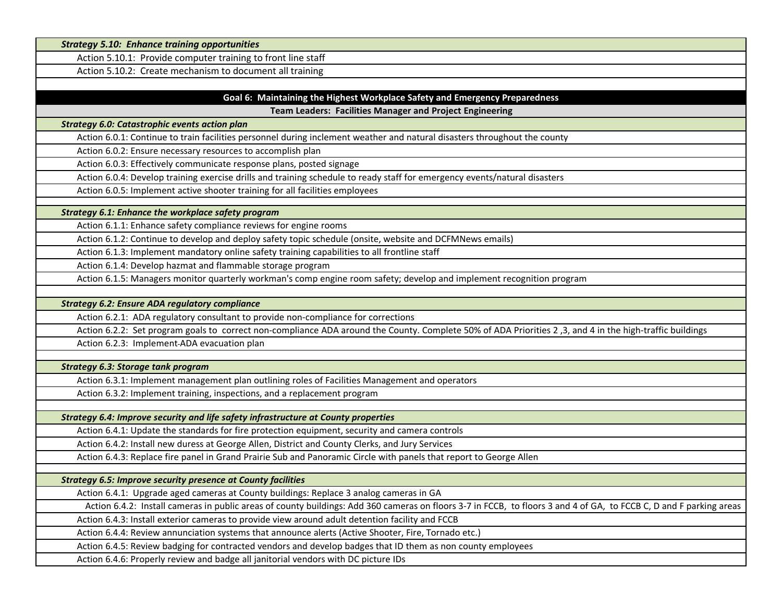| <b>Strategy 5.10: Enhance training opportunities</b>                                                                                                                |  |
|---------------------------------------------------------------------------------------------------------------------------------------------------------------------|--|
| Action 5.10.1: Provide computer training to front line staff                                                                                                        |  |
| Action 5.10.2: Create mechanism to document all training                                                                                                            |  |
|                                                                                                                                                                     |  |
| Goal 6: Maintaining the Highest Workplace Safety and Emergency Preparedness                                                                                         |  |
| Team Leaders: Facilities Manager and Project Engineering                                                                                                            |  |
| <b>Strategy 6.0: Catastrophic events action plan</b>                                                                                                                |  |
| Action 6.0.1: Continue to train facilities personnel during inclement weather and natural disasters throughout the county                                           |  |
| Action 6.0.2: Ensure necessary resources to accomplish plan                                                                                                         |  |
| Action 6.0.3: Effectively communicate response plans, posted signage                                                                                                |  |
| Action 6.0.4: Develop training exercise drills and training schedule to ready staff for emergency events/natural disasters                                          |  |
| Action 6.0.5: Implement active shooter training for all facilities employees                                                                                        |  |
| Strategy 6.1: Enhance the workplace safety program                                                                                                                  |  |
| Action 6.1.1: Enhance safety compliance reviews for engine rooms                                                                                                    |  |
| Action 6.1.2: Continue to develop and deploy safety topic schedule (onsite, website and DCFMNews emails)                                                            |  |
| Action 6.1.3: Implement mandatory online safety training capabilities to all frontline staff                                                                        |  |
| Action 6.1.4: Develop hazmat and flammable storage program                                                                                                          |  |
| Action 6.1.5: Managers monitor quarterly workman's comp engine room safety; develop and implement recognition program                                               |  |
|                                                                                                                                                                     |  |
| <b>Strategy 6.2: Ensure ADA regulatory compliance</b>                                                                                                               |  |
| Action 6.2.1: ADA regulatory consultant to provide non-compliance for corrections                                                                                   |  |
| Action 6.2.2: Set program goals to correct non-compliance ADA around the County. Complete 50% of ADA Priorities 2,3, and 4 in the high-traffic buildings            |  |
| Action 6.2.3: Implement-ADA evacuation plan                                                                                                                         |  |
|                                                                                                                                                                     |  |
| <b>Strategy 6.3: Storage tank program</b>                                                                                                                           |  |
| Action 6.3.1: Implement management plan outlining roles of Facilities Management and operators                                                                      |  |
| Action 6.3.2: Implement training, inspections, and a replacement program                                                                                            |  |
| Strategy 6.4: Improve security and life safety infrastructure at County properties                                                                                  |  |
| Action 6.4.1: Update the standards for fire protection equipment, security and camera controls                                                                      |  |
| Action 6.4.2: Install new duress at George Allen, District and County Clerks, and Jury Services                                                                     |  |
| Action 6.4.3: Replace fire panel in Grand Prairie Sub and Panoramic Circle with panels that report to George Allen                                                  |  |
| <b>Strategy 6.5: Improve security presence at County facilities</b>                                                                                                 |  |
| Action 6.4.1: Upgrade aged cameras at County buildings: Replace 3 analog cameras in GA                                                                              |  |
| Action 6.4.2: Install cameras in public areas of county buildings: Add 360 cameras on floors 3-7 in FCCB, to floors 3 and 4 of GA, to FCCB C, D and F parking areas |  |
| Action 6.4.3: Install exterior cameras to provide view around adult detention facility and FCCB                                                                     |  |
|                                                                                                                                                                     |  |
| Action 6.4.4: Review annunciation systems that announce alerts (Active Shooter, Fire, Tornado etc.)                                                                 |  |
| Action 6.4.5: Review badging for contracted vendors and develop badges that ID them as non county employees                                                         |  |
| Action 6.4.6: Properly review and badge all janitorial vendors with DC picture IDs                                                                                  |  |